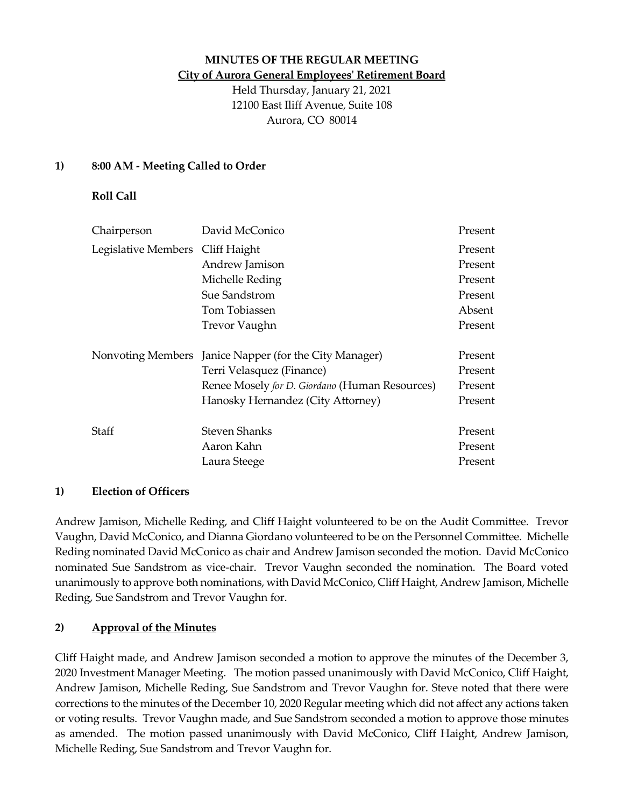### **MINUTES OF THE REGULAR MEETING City of Aurora General Employees' Retirement Board**

Held Thursday, January 21, 2021 12100 East Iliff Avenue, Suite 108 Aurora, CO 80014

# **1) 8:00 AM - Meeting Called to Order**

# **Roll Call**

| Chairperson                      | David McConico                                         | Present |
|----------------------------------|--------------------------------------------------------|---------|
| Legislative Members Cliff Haight |                                                        | Present |
|                                  | Andrew Jamison                                         | Present |
|                                  | Michelle Reding                                        | Present |
|                                  | Sue Sandstrom                                          | Present |
|                                  | Tom Tobiassen                                          | Absent  |
|                                  | <b>Trevor Vaughn</b>                                   | Present |
|                                  | Nonvoting Members Janice Napper (for the City Manager) | Present |
|                                  | Terri Velasquez (Finance)                              | Present |
|                                  | Renee Mosely for D. Giordano (Human Resources)         | Present |
|                                  | Hanosky Hernandez (City Attorney)                      | Present |
| Staff                            | <b>Steven Shanks</b>                                   | Present |
|                                  | Aaron Kahn                                             | Present |
|                                  | Laura Steege                                           | Present |

#### **1) Election of Officers**

Andrew Jamison, Michelle Reding, and Cliff Haight volunteered to be on the Audit Committee. Trevor Vaughn, David McConico, and Dianna Giordano volunteered to be on the Personnel Committee. Michelle Reding nominated David McConico as chair and Andrew Jamison seconded the motion. David McConico nominated Sue Sandstrom as vice-chair. Trevor Vaughn seconded the nomination. The Board voted unanimously to approve both nominations, with David McConico, Cliff Haight, Andrew Jamison, Michelle Reding, Sue Sandstrom and Trevor Vaughn for.

# **2) Approval of the Minutes**

Cliff Haight made, and Andrew Jamison seconded a motion to approve the minutes of the December 3, 2020 Investment Manager Meeting. The motion passed unanimously with David McConico, Cliff Haight, Andrew Jamison, Michelle Reding, Sue Sandstrom and Trevor Vaughn for. Steve noted that there were corrections to the minutes of the December 10, 2020 Regular meeting which did not affect any actions taken or voting results. Trevor Vaughn made, and Sue Sandstrom seconded a motion to approve those minutes as amended. The motion passed unanimously with David McConico, Cliff Haight, Andrew Jamison, Michelle Reding, Sue Sandstrom and Trevor Vaughn for.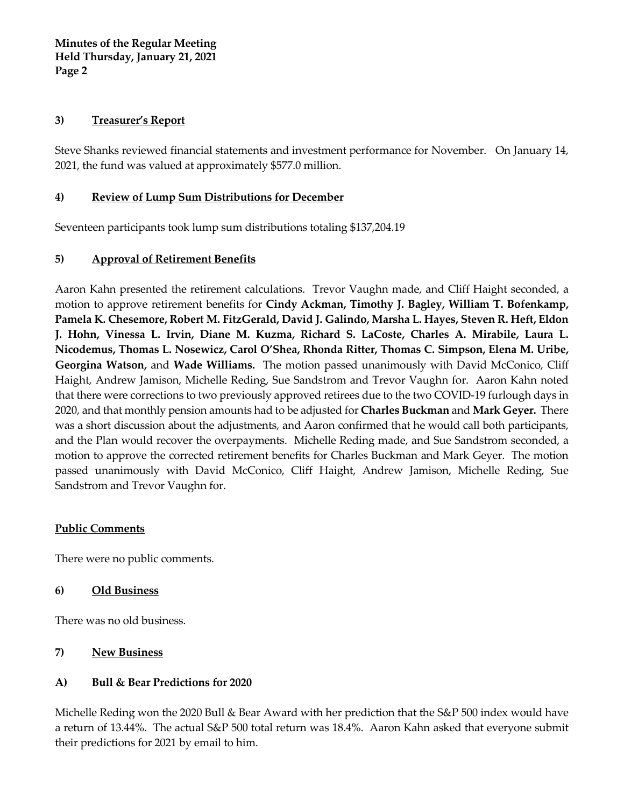**Minutes of the Regular Meeting Held Thursday, January 21, 2021 Page 2**

#### **3) Treasurer's Report**

Steve Shanks reviewed financial statements and investment performance for November. On January 14, 2021, the fund was valued at approximately \$577.0 million.

# **4) Review of Lump Sum Distributions for December**

Seventeen participants took lump sum distributions totaling \$137,204.19

## **5) Approval of Retirement Benefits**

Aaron Kahn presented the retirement calculations. Trevor Vaughn made, and Cliff Haight seconded, a motion to approve retirement benefits for **Cindy Ackman, Timothy J. Bagley, William T. Bofenkamp, Pamela K. Chesemore, Robert M. FitzGerald, David J. Galindo, Marsha L. Hayes, Steven R. Heft, Eldon J. Hohn, Vinessa L. Irvin, Diane M. Kuzma, Richard S. LaCoste, Charles A. Mirabile, Laura L. Nicodemus, Thomas L. Nosewicz, Carol O'Shea, Rhonda Ritter, Thomas C. Simpson, Elena M. Uribe, Georgina Watson,** and **Wade Williams.** The motion passed unanimously with David McConico, Cliff Haight, Andrew Jamison, Michelle Reding, Sue Sandstrom and Trevor Vaughn for. Aaron Kahn noted that there were corrections to two previously approved retirees due to the two COVID-19 furlough days in 2020, and that monthly pension amounts had to be adjusted for **Charles Buckman** and **Mark Geyer.** There was a short discussion about the adjustments, and Aaron confirmed that he would call both participants, and the Plan would recover the overpayments.Michelle Reding made, and Sue Sandstrom seconded, a motion to approve the corrected retirement benefits for Charles Buckman and Mark Geyer. The motion passed unanimously with David McConico, Cliff Haight, Andrew Jamison, Michelle Reding, Sue Sandstrom and Trevor Vaughn for.

#### **Public Comments**

There were no public comments.

#### **6) Old Business**

There was no old business.

#### **7) New Business**

# **A) Bull & Bear Predictions for 2020**

Michelle Reding won the 2020 Bull & Bear Award with her prediction that the S&P 500 index would have a return of 13.44%. The actual S&P 500 total return was 18.4%. Aaron Kahn asked that everyone submit their predictions for 2021 by email to him.